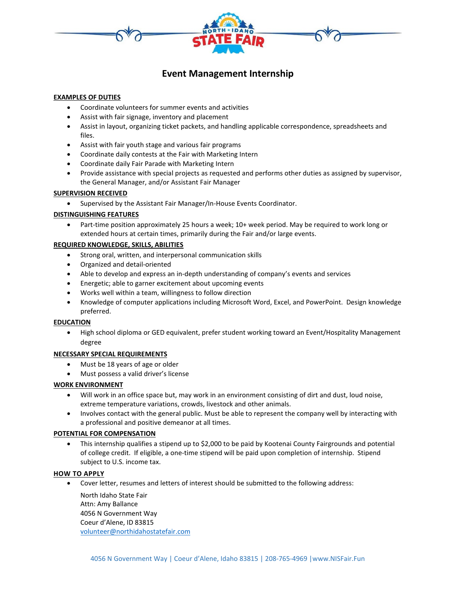

# **Event Management Internship**

## **EXAMPLES OF DUTIES**

- Coordinate volunteers for summer events and activities
- Assist with fair signage, inventory and placement
- Assist in layout, organizing ticket packets, and handling applicable correspondence, spreadsheets and files.
- Assist with fair youth stage and various fair programs
- Coordinate daily contests at the Fair with Marketing Intern
- Coordinate daily Fair Parade with Marketing Intern
- Provide assistance with special projects as requested and performs other duties as assigned by supervisor, the General Manager, and/or Assistant Fair Manager

#### **SUPERVISION RECEIVED**

• Supervised by the Assistant Fair Manager/In-House Events Coordinator.

# **DISTINGUISHING FEATURES**

• Part-time position approximately 25 hours a week; 10+ week period. May be required to work long or extended hours at certain times, primarily during the Fair and/or large events.

## **REQUIRED KNOWLEDGE, SKILLS, ABILITIES**

- Strong oral, written, and interpersonal communication skills
- Organized and detail-oriented
- Able to develop and express an in-depth understanding of company's events and services
- Energetic; able to garner excitement about upcoming events
- Works well within a team, willingness to follow direction
- Knowledge of computer applications including Microsoft Word, Excel, and PowerPoint. Design knowledge preferred.

#### **EDUCATION**

• High school diploma or GED equivalent, prefer student working toward an Event/Hospitality Management degree

#### **NECESSARY SPECIAL REQUIREMENTS**

- Must be 18 years of age or older
- Must possess a valid driver's license

#### **WORK ENVIRONMENT**

- Will work in an office space but, may work in an environment consisting of dirt and dust, loud noise, extreme temperature variations, crowds, livestock and other animals.
- Involves contact with the general public. Must be able to represent the company well by interacting with a professional and positive demeanor at all times.

# **POTENTIAL FOR COMPENSATION**

• This internship qualifies a stipend up to \$2,000 to be paid by Kootenai County Fairgrounds and potential of college credit. If eligible, a one-time stipend will be paid upon completion of internship. Stipend subject to U.S. income tax.

#### **HOW TO APPLY**

• Cover letter, resumes and letters of interest should be submitted to the following address:

North Idaho State Fair Attn: Amy Ballance 4056 N Government Way Coeur d'Alene, ID 83815 [volunteer@northidahostatefair.com](mailto:volunteer@northidahostatefair.com)